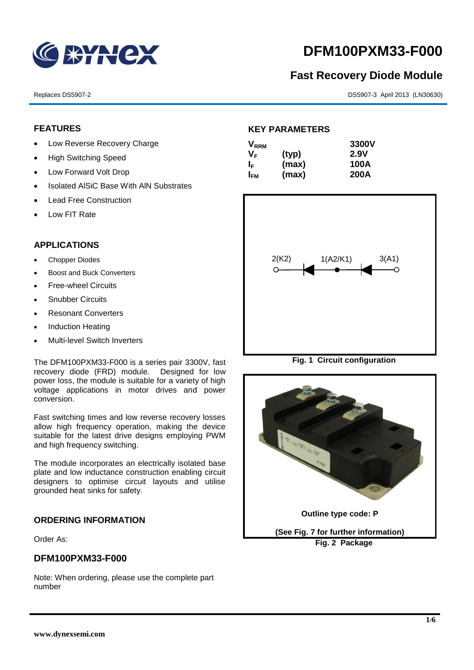

# **DFM100PXM33-F000**

# **Fast Recovery Diode Module**

#### Replaces DS5907-2 DS5907-3 April 2013 (LN30630)

# **FEATURES**

- Low Reverse Recovery Charge
- High Switching Speed
- Low Forward Volt Drop
- Isolated AISiC Base With AIN Substrates
- Lead Free Construction
- Low FIT Rate

# **APPLICATIONS**

- Chopper Diodes
- Boost and Buck Converters
- Free-wheel Circuits
- Snubber Circuits
- Resonant Converters
- Induction Heating
- Multi-level Switch Inverters

The DFM100PXM33-F000 is a series pair 3300V, fast recovery diode (FRD) module. Designed for low power loss, the module is suitable for a variety of high voltage applications in motor drives and power conversion.

Fast switching times and low reverse recovery losses allow high frequency operation, making the device suitable for the latest drive designs employing PWM and high frequency switching.

The module incorporates an electrically isolated base plate and low inductance construction enabling circuit designers to optimise circuit layouts and utilise grounded heat sinks for safety.

# **ORDERING INFORMATION**

Order As:

# **DFM100PXM33-F000**

Note: When ordering, please use the complete part number

# **KEY PARAMETERS**

| $\mathsf{V}_{\mathsf{RRM}}$ |       | 3300V       |
|-----------------------------|-------|-------------|
| Vғ                          | (typ) | 2.9V        |
| IF.                         | (max) | 100A        |
| I <sub>FМ</sub>             | (max) | <b>200A</b> |



**Fig. 1 Circuit configuration**

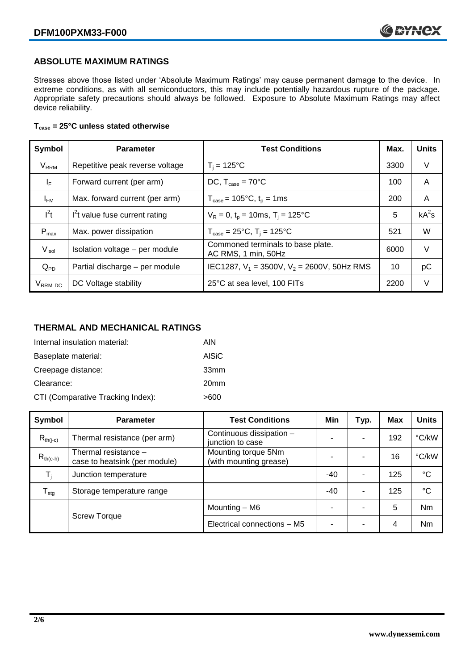## **ABSOLUTE MAXIMUM RATINGS**

Stresses above those listed under 'Absolute Maximum Ratings' may cause permanent damage to the device. In extreme conditions, as with all semiconductors, this may include potentially hazardous rupture of the package. Appropriate safety precautions should always be followed. Exposure to Absolute Maximum Ratings may affect device reliability.

#### **Tcase = 25°C unless stated otherwise**

| Symbol                 | <b>Parameter</b>                | <b>Test Conditions</b>                                   |      | <b>Units</b> |
|------------------------|---------------------------------|----------------------------------------------------------|------|--------------|
| <b>V<sub>RRM</sub></b> | Repetitive peak reverse voltage | $T_i = 125$ °C                                           | 3300 | V            |
| $I_F$                  | Forward current (per arm)       | DC, $T_{case} = 70^{\circ}$ C                            |      | A            |
| $I_{FM}$               | Max. forward current (per arm)  | $T_{\text{case}} = 105^{\circ}C, t_{p} = 1ms$            | 200  | A            |
| $I^2t$                 | $I2t$ value fuse current rating | $V_R = 0$ , $t_p = 10$ ms, $T_i = 125$ °C                | 5    | $kA^2s$      |
| $P_{max}$              | Max. power dissipation          | $T_{\text{case}} = 25^{\circ}C$ , $T_i = 125^{\circ}C$   | 521  | W            |
| $V_{\sf isol}$         | Isolation voltage - per module  | Commoned terminals to base plate.<br>AC RMS, 1 min, 50Hz | 6000 | $\vee$       |
| $Q_{PD}$               | Partial discharge - per module  | IEC1287, $V_1$ = 3500V, $V_2$ = 2600V, 50Hz RMS          | 10   | рC           |
| V <sub>RRM</sub> DC    | DC Voltage stability            | 25°C at sea level, 100 FITs                              | 2200 | V            |

# **THERMAL AND MECHANICAL RATINGS**

| Internal insulation material:     | AIN              |
|-----------------------------------|------------------|
| Baseplate material:               | AISiC            |
| Creepage distance:                | 33mm             |
| Clearance:                        | 20 <sub>mm</sub> |
| CTI (Comparative Tracking Index): | >600             |

| Symbol                     | <b>Parameter</b>                                      | <b>Test Conditions</b>                        | Min   | Typ. | Max | <b>Units</b>    |
|----------------------------|-------------------------------------------------------|-----------------------------------------------|-------|------|-----|-----------------|
| $R_{th(i-c)}$              | Thermal resistance (per arm)                          | Continuous dissipation -<br>junction to case  | -     |      | 192 | °C/kW           |
| $R_{th(c-h)}$              | Thermal resistance -<br>case to heatsink (per module) | Mounting torque 5Nm<br>(with mounting grease) |       |      | 16  | °C/kW           |
| T,                         | Junction temperature                                  |                                               | $-40$ | ۰    | 125 | $^{\circ}C$     |
| ${\mathsf T}_{\text{stg}}$ | Storage temperature range                             |                                               | $-40$ | ۰    | 125 | $\rm ^{\circ}C$ |
|                            |                                                       | Mounting - M6                                 | -     |      | 5   | <b>Nm</b>       |
|                            | <b>Screw Torque</b>                                   | Electrical connections - M5                   | ۰     |      | 4   | Nm              |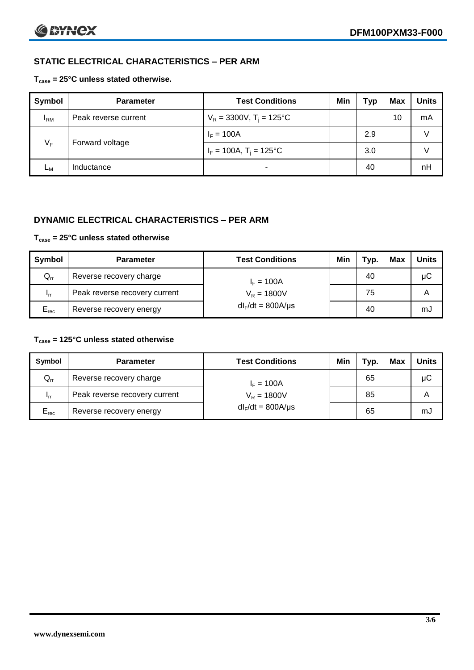# **STATIC ELECTRICAL CHARACTERISTICS – PER ARM**

#### **Tcase = 25°C unless stated otherwise.**

| Symbol     | <b>Parameter</b>     | <b>Test Conditions</b>                 | Min | Typ | <b>Max</b> | <b>Units</b> |
|------------|----------------------|----------------------------------------|-----|-----|------------|--------------|
| <b>IRM</b> | Peak reverse current | $V_R = 3300V$ , T <sub>i</sub> = 125°C |     |     | 10         | mA           |
| $V_F$      | Forward voltage      | $I_F = 100A$                           |     | 2.9 |            | v            |
|            |                      | $I_F = 100A$ , $T_i = 125^{\circ}C$    |     | 3.0 |            | v            |
| Lм         | Inductance           | $\blacksquare$                         |     | 40  |            | nH           |

## **DYNAMIC ELECTRICAL CHARACTERISTICS – PER ARM**

#### **Tcase = 25°C unless stated otherwise**

| Symbol          | <b>Parameter</b>                        | <b>Test Conditions</b> | Min | Typ. | Max | <b>Units</b> |
|-----------------|-----------------------------------------|------------------------|-----|------|-----|--------------|
| $Q_{rr}$        | Reverse recovery charge<br>$I_F = 100A$ |                        |     | 40   |     | μC           |
| 1 <sub>rr</sub> | Peak reverse recovery current           | $V_R = 1800V$          |     | 75   |     | A            |
| $E_{rec}$       | Reverse recovery energy                 | $dl_F/dt = 800A/\mu s$ |     | 40   |     | mJ           |

#### **Tcase = 125°C unless stated otherwise**

| Symbol                     | <b>Parameter</b>              | <b>Test Conditions</b> | Min | Typ. | Max | Units |
|----------------------------|-------------------------------|------------------------|-----|------|-----|-------|
| $\mathsf{Q}_{\mathsf{rr}}$ | Reverse recovery charge       | $I_F = 100A$           |     | 65   |     | μC    |
| - Irr                      | Peak reverse recovery current | $V_R = 1800V$          |     | 85   |     | А     |
| $E_{rec}$                  | Reverse recovery energy       | $dl_F/dt = 800A/\mu s$ |     | 65   |     | mJ    |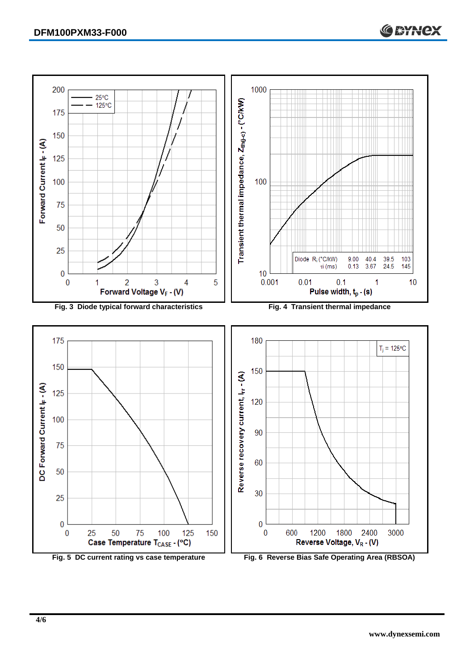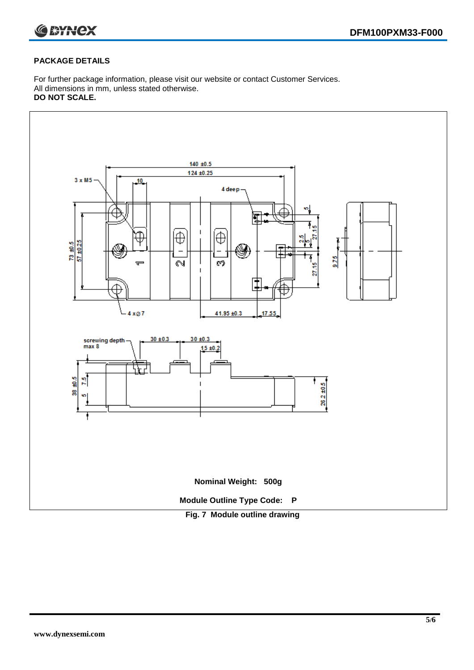

#### **PACKAGE DETAILS**

For further package information, please visit our website or contact Customer Services. All dimensions in mm, unless stated otherwise. **DO NOT SCALE.**